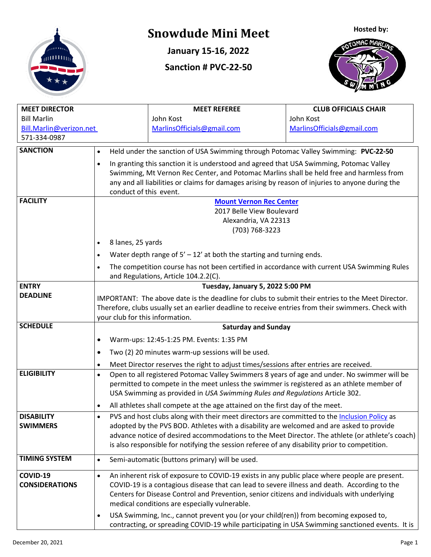

## **Snowdude Mini Meet**

**January 15-16, 2022**

**Sanction # PVC-22-50**





| <b>MEET DIRECTOR</b>    |                                                                                                          | <b>MEET REFEREE</b>                                                                               | <b>CLUB OFFICIALS CHAIR</b> |  |  |  |  |
|-------------------------|----------------------------------------------------------------------------------------------------------|---------------------------------------------------------------------------------------------------|-----------------------------|--|--|--|--|
| <b>Bill Marlin</b>      |                                                                                                          | John Kost                                                                                         | John Kost                   |  |  |  |  |
| Bill.Marlin@verizon.net |                                                                                                          | MarlinsOfficials@gmail.com                                                                        | MarlinsOfficials@gmail.com  |  |  |  |  |
| 571-334-0987            |                                                                                                          |                                                                                                   |                             |  |  |  |  |
| <b>SANCTION</b>         | Held under the sanction of USA Swimming through Potomac Valley Swimming: PVC-22-50<br>$\bullet$          |                                                                                                   |                             |  |  |  |  |
|                         | In granting this sanction it is understood and agreed that USA Swimming, Potomac Valley<br>$\bullet$     |                                                                                                   |                             |  |  |  |  |
|                         | Swimming, Mt Vernon Rec Center, and Potomac Marlins shall be held free and harmless from                 |                                                                                                   |                             |  |  |  |  |
|                         | any and all liabilities or claims for damages arising by reason of injuries to anyone during the         |                                                                                                   |                             |  |  |  |  |
|                         | conduct of this event.                                                                                   |                                                                                                   |                             |  |  |  |  |
| <b>FACILITY</b>         | <b>Mount Vernon Rec Center</b>                                                                           |                                                                                                   |                             |  |  |  |  |
|                         | 2017 Belle View Boulevard                                                                                |                                                                                                   |                             |  |  |  |  |
|                         |                                                                                                          | Alexandria, VA 22313                                                                              |                             |  |  |  |  |
|                         |                                                                                                          | (703) 768-3223                                                                                    |                             |  |  |  |  |
|                         | 8 lanes, 25 yards<br>$\bullet$                                                                           |                                                                                                   |                             |  |  |  |  |
|                         | Water depth range of $5' - 12'$ at both the starting and turning ends.<br>$\bullet$                      |                                                                                                   |                             |  |  |  |  |
|                         | The competition course has not been certified in accordance with current USA Swimming Rules<br>$\bullet$ |                                                                                                   |                             |  |  |  |  |
|                         |                                                                                                          | and Regulations, Article 104.2.2(C).                                                              |                             |  |  |  |  |
| <b>ENTRY</b>            | Tuesday, January 5, 2022 5:00 PM                                                                         |                                                                                                   |                             |  |  |  |  |
| <b>DEADLINE</b>         |                                                                                                          | IMPORTANT: The above date is the deadline for clubs to submit their entries to the Meet Director. |                             |  |  |  |  |
|                         | Therefore, clubs usually set an earlier deadline to receive entries from their swimmers. Check with      |                                                                                                   |                             |  |  |  |  |
|                         | your club for this information.                                                                          |                                                                                                   |                             |  |  |  |  |
| <b>SCHEDULE</b>         | <b>Saturday and Sunday</b>                                                                               |                                                                                                   |                             |  |  |  |  |
|                         | Warm-ups: 12:45-1:25 PM. Events: 1:35 PM<br>٠                                                            |                                                                                                   |                             |  |  |  |  |
|                         | Two (2) 20 minutes warm-up sessions will be used.<br>$\bullet$                                           |                                                                                                   |                             |  |  |  |  |
|                         | $\bullet$                                                                                                | Meet Director reserves the right to adjust times/sessions after entries are received.             |                             |  |  |  |  |
| <b>ELIGIBILITY</b>      | Open to all registered Potomac Valley Swimmers 8 years of age and under. No swimmer will be<br>$\bullet$ |                                                                                                   |                             |  |  |  |  |
|                         | permitted to compete in the meet unless the swimmer is registered as an athlete member of                |                                                                                                   |                             |  |  |  |  |
|                         | USA Swimming as provided in USA Swimming Rules and Regulations Article 302.                              |                                                                                                   |                             |  |  |  |  |
|                         | All athletes shall compete at the age attained on the first day of the meet.<br>$\bullet$                |                                                                                                   |                             |  |  |  |  |
| <b>DISABILITY</b>       | $\bullet$                                                                                                | PVS and host clubs along with their meet directors are committed to the Inclusion Policy as       |                             |  |  |  |  |
| <b>SWIMMERS</b>         |                                                                                                          | adopted by the PVS BOD. Athletes with a disability are welcomed and are asked to provide          |                             |  |  |  |  |
|                         |                                                                                                          | advance notice of desired accommodations to the Meet Director. The athlete (or athlete's coach)   |                             |  |  |  |  |
|                         | is also responsible for notifying the session referee of any disability prior to competition.            |                                                                                                   |                             |  |  |  |  |
| <b>TIMING SYSTEM</b>    | $\bullet$                                                                                                | Semi-automatic (buttons primary) will be used.                                                    |                             |  |  |  |  |
| COVID-19                | $\bullet$                                                                                                | An inherent risk of exposure to COVID-19 exists in any public place where people are present.     |                             |  |  |  |  |
| <b>CONSIDERATIONS</b>   | COVID-19 is a contagious disease that can lead to severe illness and death. According to the             |                                                                                                   |                             |  |  |  |  |
|                         | Centers for Disease Control and Prevention, senior citizens and individuals with underlying              |                                                                                                   |                             |  |  |  |  |
|                         | medical conditions are especially vulnerable.                                                            |                                                                                                   |                             |  |  |  |  |
|                         | USA Swimming, Inc., cannot prevent you (or your child(ren)) from becoming exposed to,<br>$\bullet$       |                                                                                                   |                             |  |  |  |  |
|                         | contracting, or spreading COVID-19 while participating in USA Swimming sanctioned events. It is          |                                                                                                   |                             |  |  |  |  |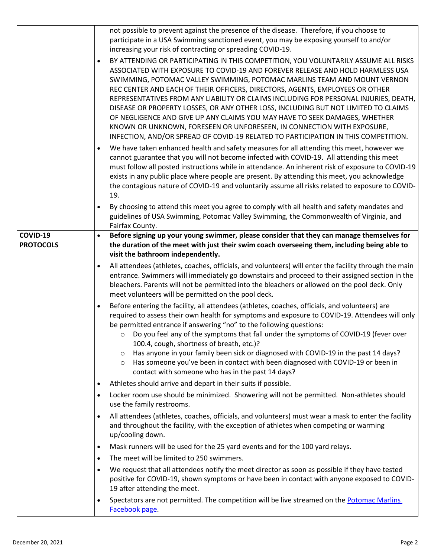|                              | not possible to prevent against the presence of the disease. Therefore, if you choose to<br>participate in a USA Swimming sanctioned event, you may be exposing yourself to and/or<br>increasing your risk of contracting or spreading COVID-19.<br>BY ATTENDING OR PARTICIPATING IN THIS COMPETITION, YOU VOLUNTARILY ASSUME ALL RISKS<br>$\bullet$<br>ASSOCIATED WITH EXPOSURE TO COVID-19 AND FOREVER RELEASE AND HOLD HARMLESS USA<br>SWIMMING, POTOMAC VALLEY SWIMMING, POTOMAC MARLINS TEAM AND MOUNT VERNON<br>REC CENTER AND EACH OF THEIR OFFICERS, DIRECTORS, AGENTS, EMPLOYEES OR OTHER<br>REPRESENTATIVES FROM ANY LIABILITY OR CLAIMS INCLUDING FOR PERSONAL INJURIES, DEATH,<br>DISEASE OR PROPERTY LOSSES, OR ANY OTHER LOSS, INCLUDING BUT NOT LIMITED TO CLAIMS<br>OF NEGLIGENCE AND GIVE UP ANY CLAIMS YOU MAY HAVE TO SEEK DAMAGES, WHETHER<br>KNOWN OR UNKNOWN, FORESEEN OR UNFORESEEN, IN CONNECTION WITH EXPOSURE,<br>INFECTION, AND/OR SPREAD OF COVID-19 RELATED TO PARTICIPATION IN THIS COMPETITION.<br>We have taken enhanced health and safety measures for all attending this meet, however we<br>$\bullet$<br>cannot guarantee that you will not become infected with COVID-19. All attending this meet<br>must follow all posted instructions while in attendance. An inherent risk of exposure to COVID-19<br>exists in any public place where people are present. By attending this meet, you acknowledge<br>the contagious nature of COVID-19 and voluntarily assume all risks related to exposure to COVID-<br>19.                                                                                                                                                                                                                                                                                                                                                                                                                                                                                                                                                                                                                                                                                                                              |
|------------------------------|------------------------------------------------------------------------------------------------------------------------------------------------------------------------------------------------------------------------------------------------------------------------------------------------------------------------------------------------------------------------------------------------------------------------------------------------------------------------------------------------------------------------------------------------------------------------------------------------------------------------------------------------------------------------------------------------------------------------------------------------------------------------------------------------------------------------------------------------------------------------------------------------------------------------------------------------------------------------------------------------------------------------------------------------------------------------------------------------------------------------------------------------------------------------------------------------------------------------------------------------------------------------------------------------------------------------------------------------------------------------------------------------------------------------------------------------------------------------------------------------------------------------------------------------------------------------------------------------------------------------------------------------------------------------------------------------------------------------------------------------------------------------------------------------------------------------------------------------------------------------------------------------------------------------------------------------------------------------------------------------------------------------------------------------------------------------------------------------------------------------------------------------------------------------------------------------------------------------------------------------------------------------------------|
|                              | By choosing to attend this meet you agree to comply with all health and safety mandates and<br>guidelines of USA Swimming, Potomac Valley Swimming, the Commonwealth of Virginia, and<br>Fairfax County.                                                                                                                                                                                                                                                                                                                                                                                                                                                                                                                                                                                                                                                                                                                                                                                                                                                                                                                                                                                                                                                                                                                                                                                                                                                                                                                                                                                                                                                                                                                                                                                                                                                                                                                                                                                                                                                                                                                                                                                                                                                                           |
| COVID-19<br><b>PROTOCOLS</b> | Before signing up your young swimmer, please consider that they can manage themselves for<br>the duration of the meet with just their swim coach overseeing them, including being able to<br>visit the bathroom independently.<br>All attendees (athletes, coaches, officials, and volunteers) will enter the facility through the main<br>$\bullet$<br>entrance. Swimmers will immediately go downstairs and proceed to their assigned section in the<br>bleachers. Parents will not be permitted into the bleachers or allowed on the pool deck. Only<br>meet volunteers will be permitted on the pool deck.<br>Before entering the facility, all attendees (athletes, coaches, officials, and volunteers) are<br>$\bullet$<br>required to assess their own health for symptoms and exposure to COVID-19. Attendees will only<br>be permitted entrance if answering "no" to the following questions:<br>Do you feel any of the symptoms that fall under the symptoms of COVID-19 (fever over<br>$\circ$<br>100.4, cough, shortness of breath, etc.)?<br>Has anyone in your family been sick or diagnosed with COVID-19 in the past 14 days?<br>$\circ$<br>Has someone you've been in contact with been diagnosed with COVID-19 or been in<br>$\circ$<br>contact with someone who has in the past 14 days?<br>Athletes should arrive and depart in their suits if possible.<br>$\bullet$<br>Locker room use should be minimized. Showering will not be permitted. Non-athletes should<br>$\bullet$<br>use the family restrooms.<br>All attendees (athletes, coaches, officials, and volunteers) must wear a mask to enter the facility<br>$\bullet$<br>and throughout the facility, with the exception of athletes when competing or warming<br>up/cooling down.<br>Mask runners will be used for the 25 yard events and for the 100 yard relays.<br>$\bullet$<br>The meet will be limited to 250 swimmers.<br>$\bullet$<br>We request that all attendees notify the meet director as soon as possible if they have tested<br>$\bullet$<br>positive for COVID-19, shown symptoms or have been in contact with anyone exposed to COVID-<br>19 after attending the meet.<br>Spectators are not permitted. The competition will be live streamed on the Potomac Marlins<br>$\bullet$ |
|                              | Facebook page.                                                                                                                                                                                                                                                                                                                                                                                                                                                                                                                                                                                                                                                                                                                                                                                                                                                                                                                                                                                                                                                                                                                                                                                                                                                                                                                                                                                                                                                                                                                                                                                                                                                                                                                                                                                                                                                                                                                                                                                                                                                                                                                                                                                                                                                                     |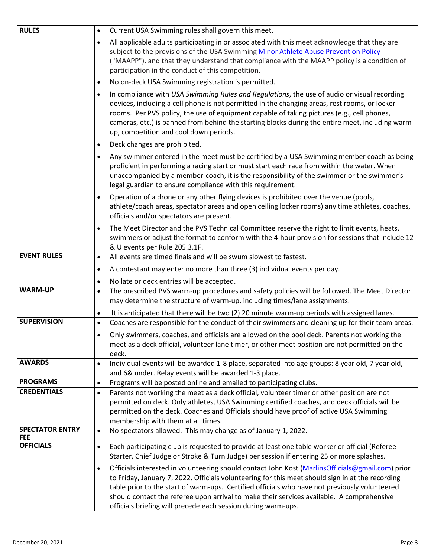| <b>RULES</b>                         | Current USA Swimming rules shall govern this meet.<br>$\bullet$                                                                                                                                                                                                                                                                                                                                                                                                                  |  |  |  |
|--------------------------------------|----------------------------------------------------------------------------------------------------------------------------------------------------------------------------------------------------------------------------------------------------------------------------------------------------------------------------------------------------------------------------------------------------------------------------------------------------------------------------------|--|--|--|
|                                      | All applicable adults participating in or associated with this meet acknowledge that they are<br>$\bullet$<br>subject to the provisions of the USA Swimming Minor Athlete Abuse Prevention Policy<br>("MAAPP"), and that they understand that compliance with the MAAPP policy is a condition of<br>participation in the conduct of this competition.                                                                                                                            |  |  |  |
|                                      | No on-deck USA Swimming registration is permitted.<br>$\bullet$                                                                                                                                                                                                                                                                                                                                                                                                                  |  |  |  |
|                                      | In compliance with USA Swimming Rules and Regulations, the use of audio or visual recording<br>$\bullet$<br>devices, including a cell phone is not permitted in the changing areas, rest rooms, or locker<br>rooms. Per PVS policy, the use of equipment capable of taking pictures (e.g., cell phones,<br>cameras, etc.) is banned from behind the starting blocks during the entire meet, including warm<br>up, competition and cool down periods.                             |  |  |  |
|                                      | Deck changes are prohibited.<br>$\bullet$                                                                                                                                                                                                                                                                                                                                                                                                                                        |  |  |  |
|                                      | Any swimmer entered in the meet must be certified by a USA Swimming member coach as being<br>$\bullet$<br>proficient in performing a racing start or must start each race from within the water. When<br>unaccompanied by a member-coach, it is the responsibility of the swimmer or the swimmer's<br>legal guardian to ensure compliance with this requirement.                                                                                                                 |  |  |  |
|                                      | Operation of a drone or any other flying devices is prohibited over the venue (pools,<br>$\bullet$<br>athlete/coach areas, spectator areas and open ceiling locker rooms) any time athletes, coaches,<br>officials and/or spectators are present.                                                                                                                                                                                                                                |  |  |  |
|                                      | The Meet Director and the PVS Technical Committee reserve the right to limit events, heats,<br>$\bullet$<br>swimmers or adjust the format to conform with the 4-hour provision for sessions that include 12<br>& U events per Rule 205.3.1F.                                                                                                                                                                                                                                     |  |  |  |
| <b>EVENT RULES</b>                   | All events are timed finals and will be swum slowest to fastest.<br>$\bullet$                                                                                                                                                                                                                                                                                                                                                                                                    |  |  |  |
|                                      | A contestant may enter no more than three (3) individual events per day.<br>$\bullet$                                                                                                                                                                                                                                                                                                                                                                                            |  |  |  |
|                                      | No late or deck entries will be accepted.<br>$\bullet$                                                                                                                                                                                                                                                                                                                                                                                                                           |  |  |  |
| <b>WARM-UP</b>                       | The prescribed PVS warm-up procedures and safety policies will be followed. The Meet Director<br>$\bullet$<br>may determine the structure of warm-up, including times/lane assignments.                                                                                                                                                                                                                                                                                          |  |  |  |
|                                      | It is anticipated that there will be two (2) 20 minute warm-up periods with assigned lanes.<br>$\bullet$                                                                                                                                                                                                                                                                                                                                                                         |  |  |  |
| <b>SUPERVISION</b>                   | Coaches are responsible for the conduct of their swimmers and cleaning up for their team areas.<br>$\bullet$                                                                                                                                                                                                                                                                                                                                                                     |  |  |  |
|                                      | Only swimmers, coaches, and officials are allowed on the pool deck. Parents not working the<br>$\bullet$<br>meet as a deck official, volunteer lane timer, or other meet position are not permitted on the<br>deck.                                                                                                                                                                                                                                                              |  |  |  |
| <b>AWARDS</b>                        | Individual events will be awarded 1-8 place, separated into age groups: 8 year old, 7 year old,<br>$\bullet$<br>and 6& under. Relay events will be awarded 1-3 place.                                                                                                                                                                                                                                                                                                            |  |  |  |
| <b>PROGRAMS</b>                      | Programs will be posted online and emailed to participating clubs.<br>$\bullet$                                                                                                                                                                                                                                                                                                                                                                                                  |  |  |  |
| <b>CREDENTIALS</b>                   | Parents not working the meet as a deck official, volunteer timer or other position are not<br>$\bullet$<br>permitted on deck. Only athletes, USA Swimming certified coaches, and deck officials will be<br>permitted on the deck. Coaches and Officials should have proof of active USA Swimming<br>membership with them at all times.                                                                                                                                           |  |  |  |
| <b>SPECTATOR ENTRY</b><br><b>FEE</b> | No spectators allowed. This may change as of January 1, 2022.<br>$\bullet$                                                                                                                                                                                                                                                                                                                                                                                                       |  |  |  |
| <b>OFFICIALS</b>                     | Each participating club is requested to provide at least one table worker or official (Referee<br>$\bullet$<br>Starter, Chief Judge or Stroke & Turn Judge) per session if entering 25 or more splashes.                                                                                                                                                                                                                                                                         |  |  |  |
|                                      | Officials interested in volunteering should contact John Kost (MarlinsOfficials@gmail.com) prior<br>$\bullet$<br>to Friday, January 7, 2022. Officials volunteering for this meet should sign in at the recording<br>table prior to the start of warm-ups. Certified officials who have not previously volunteered<br>should contact the referee upon arrival to make their services available. A comprehensive<br>officials briefing will precede each session during warm-ups. |  |  |  |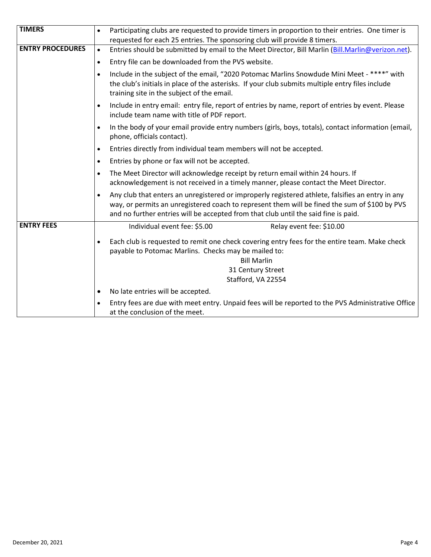| <b>TIMERS</b>           | Participating clubs are requested to provide timers in proportion to their entries. One timer is<br>requested for each 25 entries. The sponsoring club will provide 8 timers.                                                                                                            |  |  |  |  |
|-------------------------|------------------------------------------------------------------------------------------------------------------------------------------------------------------------------------------------------------------------------------------------------------------------------------------|--|--|--|--|
| <b>ENTRY PROCEDURES</b> | Entries should be submitted by email to the Meet Director, Bill Marlin (Bill.Marlin@verizon.net).<br>$\bullet$                                                                                                                                                                           |  |  |  |  |
|                         | Entry file can be downloaded from the PVS website.<br>$\bullet$                                                                                                                                                                                                                          |  |  |  |  |
|                         | Include in the subject of the email, "2020 Potomac Marlins Snowdude Mini Meet - ****" with<br>$\bullet$<br>the club's initials in place of the asterisks. If your club submits multiple entry files include<br>training site in the subject of the email.                                |  |  |  |  |
|                         | Include in entry email: entry file, report of entries by name, report of entries by event. Please<br>$\bullet$<br>include team name with title of PDF report.                                                                                                                            |  |  |  |  |
|                         | In the body of your email provide entry numbers (girls, boys, totals), contact information (email,<br>$\bullet$<br>phone, officials contact).                                                                                                                                            |  |  |  |  |
|                         | Entries directly from individual team members will not be accepted.<br>$\bullet$                                                                                                                                                                                                         |  |  |  |  |
|                         | Entries by phone or fax will not be accepted.<br>$\bullet$                                                                                                                                                                                                                               |  |  |  |  |
|                         | The Meet Director will acknowledge receipt by return email within 24 hours. If<br>acknowledgement is not received in a timely manner, please contact the Meet Director.                                                                                                                  |  |  |  |  |
|                         | Any club that enters an unregistered or improperly registered athlete, falsifies an entry in any<br>way, or permits an unregistered coach to represent them will be fined the sum of \$100 by PVS<br>and no further entries will be accepted from that club until the said fine is paid. |  |  |  |  |
| <b>ENTRY FEES</b>       | Individual event fee: \$5.00<br>Relay event fee: \$10.00                                                                                                                                                                                                                                 |  |  |  |  |
|                         | Each club is requested to remit one check covering entry fees for the entire team. Make check<br>$\bullet$<br>payable to Potomac Marlins. Checks may be mailed to:<br><b>Bill Marlin</b><br>31 Century Street<br>Stafford, VA 22554                                                      |  |  |  |  |
|                         | No late entries will be accepted.<br>$\bullet$                                                                                                                                                                                                                                           |  |  |  |  |
|                         | Entry fees are due with meet entry. Unpaid fees will be reported to the PVS Administrative Office<br>$\bullet$<br>at the conclusion of the meet.                                                                                                                                         |  |  |  |  |